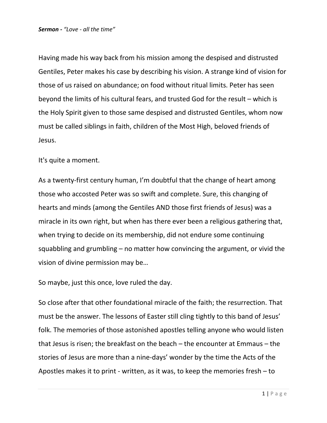Having made his way back from his mission among the despised and distrusted Gentiles, Peter makes his case by describing his vision. A strange kind of vision for those of us raised on abundance; on food without ritual limits. Peter has seen beyond the limits of his cultural fears, and trusted God for the result – which is the Holy Spirit given to those same despised and distrusted Gentiles, whom now must be called siblings in faith, children of the Most High, beloved friends of Jesus.

It's quite a moment.

As a twenty-first century human, I'm doubtful that the change of heart among those who accosted Peter was so swift and complete. Sure, this changing of hearts and minds (among the Gentiles AND those first friends of Jesus) was a miracle in its own right, but when has there ever been a religious gathering that, when trying to decide on its membership, did not endure some continuing squabbling and grumbling – no matter how convincing the argument, or vivid the vision of divine permission may be…

So maybe, just this once, love ruled the day.

So close after that other foundational miracle of the faith; the resurrection. That must be the answer. The lessons of Easter still cling tightly to this band of Jesus' folk. The memories of those astonished apostles telling anyone who would listen that Jesus is risen; the breakfast on the beach – the encounter at Emmaus – the stories of Jesus are more than a nine-days' wonder by the time the Acts of the Apostles makes it to print - written, as it was, to keep the memories fresh – to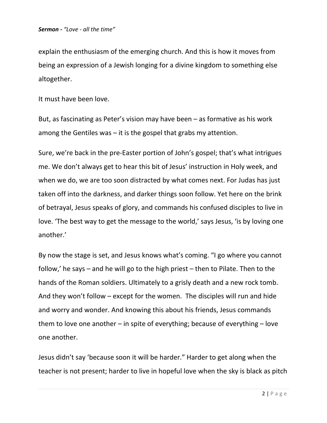explain the enthusiasm of the emerging church. And this is how it moves from being an expression of a Jewish longing for a divine kingdom to something else altogether.

It must have been love.

But, as fascinating as Peter's vision may have been – as formative as his work among the Gentiles was – it is the gospel that grabs my attention.

Sure, we're back in the pre-Easter portion of John's gospel; that's what intrigues me. We don't always get to hear this bit of Jesus' instruction in Holy week, and when we do, we are too soon distracted by what comes next. For Judas has just taken off into the darkness, and darker things soon follow. Yet here on the brink of betrayal, Jesus speaks of glory, and commands his confused disciples to live in love. 'The best way to get the message to the world,' says Jesus, 'is by loving one another.'

By now the stage is set, and Jesus knows what's coming. "I go where you cannot follow,' he says – and he will go to the high priest – then to Pilate. Then to the hands of the Roman soldiers. Ultimately to a grisly death and a new rock tomb. And they won't follow – except for the women. The disciples will run and hide and worry and wonder. And knowing this about his friends, Jesus commands them to love one another – in spite of everything; because of everything – love one another.

Jesus didn't say 'because soon it will be harder." Harder to get along when the teacher is not present; harder to live in hopeful love when the sky is black as pitch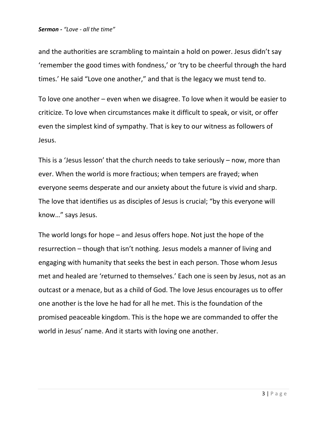and the authorities are scrambling to maintain a hold on power. Jesus didn't say 'remember the good times with fondness,' or 'try to be cheerful through the hard times.' He said "Love one another," and that is the legacy we must tend to.

To love one another – even when we disagree. To love when it would be easier to criticize. To love when circumstances make it difficult to speak, or visit, or offer even the simplest kind of sympathy. That is key to our witness as followers of Jesus.

This is a 'Jesus lesson' that the church needs to take seriously – now, more than ever. When the world is more fractious; when tempers are frayed; when everyone seems desperate and our anxiety about the future is vivid and sharp. The love that identifies us as disciples of Jesus is crucial; "by this everyone will know…" says Jesus.

The world longs for hope – and Jesus offers hope. Not just the hope of the resurrection – though that isn't nothing. Jesus models a manner of living and engaging with humanity that seeks the best in each person. Those whom Jesus met and healed are 'returned to themselves.' Each one is seen by Jesus, not as an outcast or a menace, but as a child of God. The love Jesus encourages us to offer one another is the love he had for all he met. This is the foundation of the promised peaceable kingdom. This is the hope we are commanded to offer the world in Jesus' name. And it starts with loving one another.